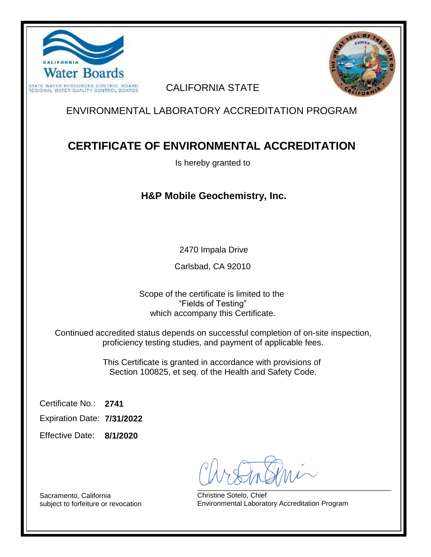



#### CALIFORNIA STATE

## ENVIRONMENTAL LABORATORY ACCREDITATION PROGRAM

# **CERTIFICATE OF ENVIRONMENTAL ACCREDITATION**

Is hereby granted to

### **H&P Mobile Geochemistry, Inc.**

2470 Impala Drive

Carlsbad, CA 92010

Scope of the certificate is limited to the "Fields of Testing" which accompany this Certificate.

Continued accredited status depends on successful completion of on-site inspection, proficiency testing studies, and payment of applicable fees.

> This Certificate is granted in accordance with provisions of Section 100825, et seq. of the Health and Safety Code.

**2741** Certificate No.:

**7/31/2022** Expiration Date:

**8/1/2020** Effective Date:

 $\sim$   $\sim$   $\sim$   $\sim$   $\sim$   $\sim$   $\sim$ 

Christine Sotelo, Chief Environmental Laboratory Accreditation Program

Sacramento, California subject to forfeiture or revocation